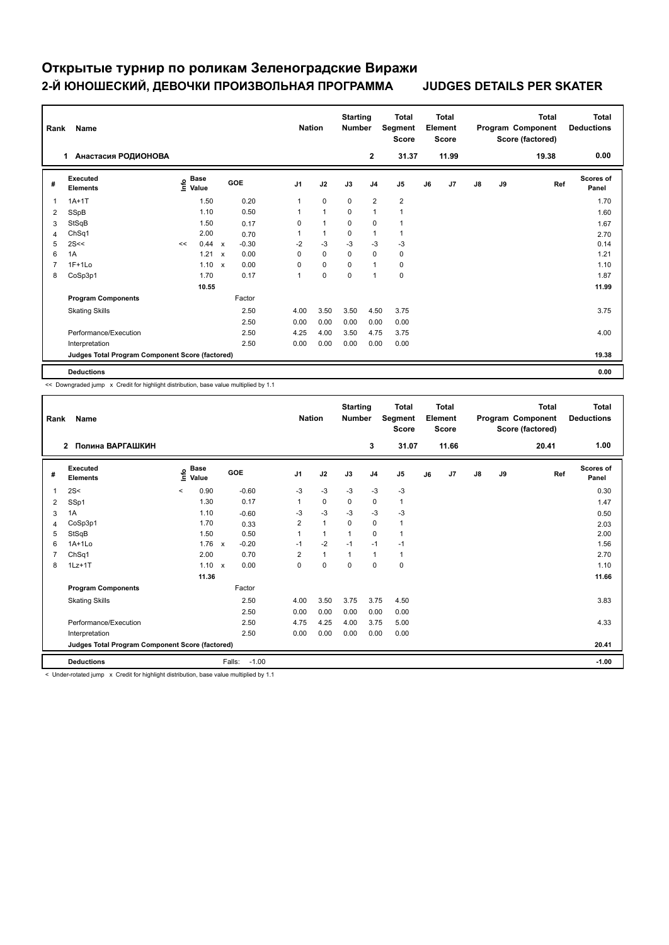## **Открытые турнир по роликам Зеленоградские Виражи 2-Й ЮНОШЕСКИЙ, ДЕВОЧКИ ПРОИЗВОЛЬНАЯ ПРОГРАММА JUDGES DETAILS PER SKATER**

|                | Name<br>Rank                                    |    |                                  |                           |         |  | <b>Nation</b>  |              | <b>Starting</b><br><b>Number</b> |                | <b>Total</b><br>Segment<br><b>Score</b> | <b>Total</b><br>Element<br><b>Score</b> |       |               |    | <b>Total</b><br>Program Component<br>Score (factored) | <b>Total</b><br><b>Deductions</b> |
|----------------|-------------------------------------------------|----|----------------------------------|---------------------------|---------|--|----------------|--------------|----------------------------------|----------------|-----------------------------------------|-----------------------------------------|-------|---------------|----|-------------------------------------------------------|-----------------------------------|
|                | Анастасия РОДИОНОВА<br>1                        |    |                                  |                           |         |  |                |              |                                  | $\overline{2}$ | 31.37                                   |                                         | 11.99 |               |    | 19.38                                                 | 0.00                              |
| #              | Executed<br><b>Elements</b>                     |    | <b>Base</b><br>o Base<br>⊆ Value |                           | GOE     |  | J <sub>1</sub> | J2           | J3                               | J <sub>4</sub> | J <sub>5</sub>                          | J6                                      | J7    | $\mathsf{J}8$ | J9 | Ref                                                   | Scores of<br>Panel                |
| 1              | $1A+1T$                                         |    | 1.50                             |                           | 0.20    |  | $\mathbf{1}$   | $\mathbf 0$  | $\mathbf 0$                      | $\overline{2}$ | $\overline{2}$                          |                                         |       |               |    |                                                       | 1.70                              |
| 2              | SSpB                                            |    | 1.10                             |                           | 0.50    |  | 1              | $\mathbf{1}$ | 0                                | $\overline{1}$ | 1                                       |                                         |       |               |    |                                                       | 1.60                              |
| 3              | StSqB                                           |    | 1.50                             |                           | 0.17    |  | 0              | $\mathbf{1}$ | $\mathbf 0$                      | $\mathbf 0$    | $\mathbf{1}$                            |                                         |       |               |    |                                                       | 1.67                              |
| $\overline{4}$ | ChSq1                                           |    | 2.00                             |                           | 0.70    |  | 1              | $\mathbf{1}$ | $\mathbf 0$                      | $\mathbf{1}$   | $\mathbf{1}$                            |                                         |       |               |    |                                                       | 2.70                              |
| 5              | 2S<<                                            | << | 0.44                             | $\mathsf{x}$              | $-0.30$ |  | $-2$           | $-3$         | $-3$                             | $-3$           | $-3$                                    |                                         |       |               |    |                                                       | 0.14                              |
| 6              | 1A                                              |    | 1.21                             | $\boldsymbol{\mathsf{x}}$ | 0.00    |  | 0              | $\mathbf 0$  | 0                                | 0              | 0                                       |                                         |       |               |    |                                                       | 1.21                              |
| $\overline{7}$ | $1F+1Lo$                                        |    | 1.10                             | $\mathsf{x}$              | 0.00    |  | 0              | $\mathbf 0$  | $\Omega$                         | $\overline{1}$ | 0                                       |                                         |       |               |    |                                                       | 1.10                              |
| 8              | CoSp3p1                                         |    | 1.70                             |                           | 0.17    |  | 1              | $\mathbf 0$  | 0                                | $\overline{1}$ | $\pmb{0}$                               |                                         |       |               |    |                                                       | 1.87                              |
|                |                                                 |    | 10.55                            |                           |         |  |                |              |                                  |                |                                         |                                         |       |               |    |                                                       | 11.99                             |
|                | <b>Program Components</b>                       |    |                                  |                           | Factor  |  |                |              |                                  |                |                                         |                                         |       |               |    |                                                       |                                   |
|                | <b>Skating Skills</b>                           |    |                                  |                           | 2.50    |  | 4.00           | 3.50         | 3.50                             | 4.50           | 3.75                                    |                                         |       |               |    |                                                       | 3.75                              |
|                |                                                 |    |                                  |                           | 2.50    |  | 0.00           | 0.00         | 0.00                             | 0.00           | 0.00                                    |                                         |       |               |    |                                                       |                                   |
|                | Performance/Execution                           |    |                                  |                           | 2.50    |  | 4.25           | 4.00         | 3.50                             | 4.75           | 3.75                                    |                                         |       |               |    |                                                       | 4.00                              |
|                | Interpretation                                  |    |                                  |                           | 2.50    |  | 0.00           | 0.00         | 0.00                             | 0.00           | 0.00                                    |                                         |       |               |    |                                                       |                                   |
|                | Judges Total Program Component Score (factored) |    |                                  |                           |         |  |                |              |                                  |                |                                         |                                         |       |               |    |                                                       | 19.38                             |
|                | <b>Deductions</b>                               |    |                                  |                           |         |  |                |              |                                  |                |                                         |                                         |       |               |    |                                                       | 0.00                              |

<< Downgraded jump x Credit for highlight distribution, base value multiplied by 1.1

| Rank | Name                                            |                            |       |                                   |                | <b>Nation</b>        | <b>Starting</b><br><b>Number</b> |                | <b>Total</b><br>Segment<br><b>Score</b> |    | Total<br>Element<br><b>Score</b> |    |    | Total<br>Program Component<br>Score (factored) | Total<br><b>Deductions</b> |
|------|-------------------------------------------------|----------------------------|-------|-----------------------------------|----------------|----------------------|----------------------------------|----------------|-----------------------------------------|----|----------------------------------|----|----|------------------------------------------------|----------------------------|
|      | Полина ВАРГАШКИН<br>$\overline{2}$              |                            |       |                                   |                |                      |                                  | 3              | 31.07                                   |    | 11.66                            |    |    | 20.41                                          | 1.00                       |
| #    | Executed<br><b>Elements</b>                     | $\sum_{k=1}^{\infty}$ Pase |       | GOE                               | J <sub>1</sub> | J2                   | J3                               | J <sub>4</sub> | J5                                      | J6 | J7                               | J8 | J9 | Ref                                            | <b>Scores of</b><br>Panel  |
| -1   | 2S<                                             | $\hat{}$                   | 0.90  | $-0.60$                           | $-3$           | $-3$                 | $-3$                             | $-3$           | $-3$                                    |    |                                  |    |    |                                                | 0.30                       |
| 2    | SSp1                                            |                            | 1.30  | 0.17                              | 1              | 0                    | 0                                | 0              | 1                                       |    |                                  |    |    |                                                | 1.47                       |
| 3    | 1A                                              |                            | 1.10  | $-0.60$                           | $-3$           | $-3$                 | $-3$                             | $-3$           | $-3$                                    |    |                                  |    |    |                                                | 0.50                       |
| 4    | CoSp3p1                                         |                            | 1.70  | 0.33                              | $\overline{2}$ | $\blacktriangleleft$ | $\Omega$                         | 0              | 1                                       |    |                                  |    |    |                                                | 2.03                       |
| 5    | StSqB                                           |                            | 1.50  | 0.50                              |                | 1                    | $\overline{1}$                   | 0              | 1                                       |    |                                  |    |    |                                                | 2.00                       |
| 6    | $1A+1Lo$                                        |                            | 1.76  | $-0.20$<br>$\mathsf{x}$           | $-1$           | $-2$                 | $-1$                             | $-1$           | $-1$                                    |    |                                  |    |    |                                                | 1.56                       |
| 7    | ChSq1                                           |                            | 2.00  | 0.70                              | $\overline{2}$ | $\mathbf{1}$         | 1                                | $\mathbf{1}$   | 1                                       |    |                                  |    |    |                                                | 2.70                       |
| 8    | $1Lz+1T$                                        |                            | 1.10  | 0.00<br>$\boldsymbol{\mathsf{x}}$ | $\mathbf 0$    | $\mathbf 0$          | $\mathbf 0$                      | 0              | 0                                       |    |                                  |    |    |                                                | 1.10                       |
|      |                                                 |                            | 11.36 |                                   |                |                      |                                  |                |                                         |    |                                  |    |    |                                                | 11.66                      |
|      | <b>Program Components</b>                       |                            |       | Factor                            |                |                      |                                  |                |                                         |    |                                  |    |    |                                                |                            |
|      | <b>Skating Skills</b>                           |                            |       | 2.50                              | 4.00           | 3.50                 | 3.75                             | 3.75           | 4.50                                    |    |                                  |    |    |                                                | 3.83                       |
|      |                                                 |                            |       | 2.50                              | 0.00           | 0.00                 | 0.00                             | 0.00           | 0.00                                    |    |                                  |    |    |                                                |                            |
|      | Performance/Execution                           |                            |       | 2.50                              | 4.75           | 4.25                 | 4.00                             | 3.75           | 5.00                                    |    |                                  |    |    |                                                | 4.33                       |
|      | Interpretation                                  |                            |       | 2.50                              | 0.00           | 0.00                 | 0.00                             | 0.00           | 0.00                                    |    |                                  |    |    |                                                |                            |
|      | Judges Total Program Component Score (factored) |                            |       |                                   |                |                      |                                  |                |                                         |    |                                  |    |    |                                                | 20.41                      |
|      | <b>Deductions</b>                               |                            |       | Falls:<br>$-1.00$                 |                |                      |                                  |                |                                         |    |                                  |    |    |                                                | $-1.00$                    |

< Under-rotated jump x Credit for highlight distribution, base value multiplied by 1.1